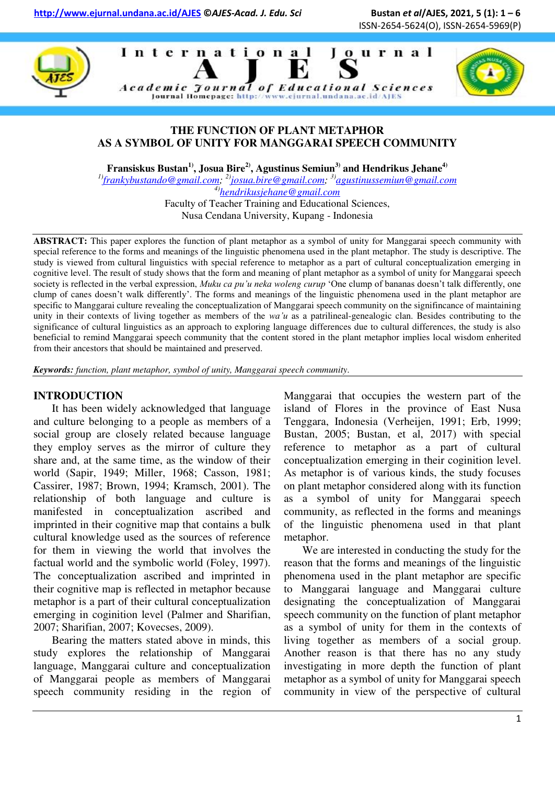





## **THE FUNCTION OF PLANT METAPHOR AS A SYMBOL OF UNITY FOR MANGGARAI SPEECH COMMUNITY**

**Fransiskus Bustan1), Josua Bire2), Agustinus Semiun3) and Hendrikus Jehane4)** 

*1)[frankybustando@gmail.com;](mailto:frankybustando@gmail.com) 2)[josua.bire@gmail.com;](mailto:josua.bire@gmail.com) 3)[agustinussemiun@gmail.com](mailto:agustinussemiun@gmail.com) 4)[hendrikusjehane@gmail.com](mailto:hendrikusjehane@gmail.com)*

Faculty of Teacher Training and Educational Sciences, Nusa Cendana University, Kupang - Indonesia

**ABSTRACT:** This paper explores the function of plant metaphor as a symbol of unity for Manggarai speech community with special reference to the forms and meanings of the linguistic phenomena used in the plant metaphor. The study is descriptive. The study is viewed from cultural linguistics with special reference to metaphor as a part of cultural conceptualization emerging in cognitive level. The result of study shows that the form and meaning of plant metaphor as a symbol of unity for Manggarai speech society is reflected in the verbal expression, *Muku ca pu'u neka woleng curup* "One clump of bananas doesn"t talk differently, one clump of canes doesn"t walk differently". The forms and meanings of the linguistic phenomena used in the plant metaphor are specific to Manggarai culture revealing the conceptualization of Manggarai speech community on the signifincance of maintaining unity in their contexts of living together as members of the *wa'u* as a patrilineal-genealogic clan. Besides contributing to the significance of cultural linguistics as an approach to exploring language differences due to cultural differences, the study is also beneficial to remind Manggarai speech community that the content stored in the plant metaphor implies local wisdom enherited from their ancestors that should be maintained and preserved.

*Keywords: function, plant metaphor, symbol of unity, Manggarai speech community.* 

#### **INTRODUCTION**

It has been widely acknowledged that language and culture belonging to a people as members of a social group are closely related because language they employ serves as the mirror of culture they share and, at the same time, as the window of their world (Sapir, 1949; Miller, 1968; Casson, 1981; Cassirer, 1987; Brown, 1994; Kramsch, 2001). The relationship of both language and culture is manifested in conceptualization ascribed and imprinted in their cognitive map that contains a bulk cultural knowledge used as the sources of reference for them in viewing the world that involves the factual world and the symbolic world (Foley, 1997). The conceptualization ascribed and imprinted in their cognitive map is reflected in metaphor because metaphor is a part of their cultural conceptualization emerging in coginition level (Palmer and Sharifian, 2007; Sharifian, 2007; Kovecses, 2009).

Bearing the matters stated above in minds, this study explores the relationship of Manggarai language, Manggarai culture and conceptualization of Manggarai people as members of Manggarai speech community residing in the region of Manggarai that occupies the western part of the island of Flores in the province of East Nusa Tenggara, Indonesia (Verheijen, 1991; Erb, 1999; Bustan, 2005; Bustan, et al, 2017) with special reference to metaphor as a part of cultural conceptualization emerging in their coginition level. As metaphor is of various kinds, the study focuses on plant metaphor considered along with its function as a symbol of unity for Manggarai speech community, as reflected in the forms and meanings of the linguistic phenomena used in that plant metaphor.

We are interested in conducting the study for the reason that the forms and meanings of the linguistic phenomena used in the plant metaphor are specific to Manggarai language and Manggarai culture designating the conceptualization of Manggarai speech community on the function of plant metaphor as a symbol of unity for them in the contexts of living together as members of a social group. Another reason is that there has no any study investigating in more depth the function of plant metaphor as a symbol of unity for Manggarai speech community in view of the perspective of cultural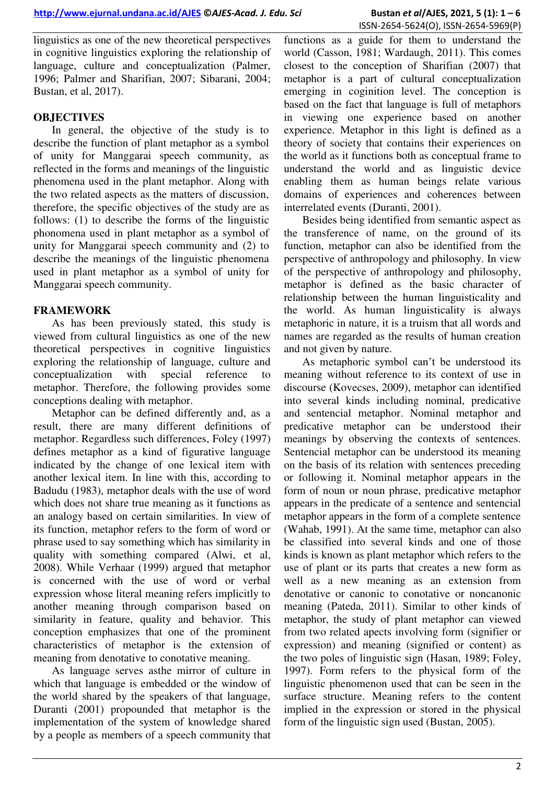linguistics as one of the new theoretical perspectives in cognitive linguistics exploring the relationship of language, culture and conceptualization (Palmer, 1996; Palmer and Sharifian, 2007; Sibarani, 2004; Bustan, et al, 2017).

## **OBJECTIVES**

In general, the objective of the study is to describe the function of plant metaphor as a symbol of unity for Manggarai speech community, as reflected in the forms and meanings of the linguistic phenomena used in the plant metaphor. Along with the two related aspects as the matters of discussion, therefore, the specific objectives of the study are as follows: (1) to describe the forms of the linguistic phonomena used in plant metaphor as a symbol of unity for Manggarai speech community and (2) to describe the meanings of the linguistic phenomena used in plant metaphor as a symbol of unity for Manggarai speech community.

## **FRAMEWORK**

As has been previously stated, this study is viewed from cultural linguistics as one of the new theoretical perspectives in cognitive linguistics exploring the relationship of language, culture and conceptualization with special reference to metaphor. Therefore, the following provides some conceptions dealing with metaphor.

Metaphor can be defined differently and, as a result, there are many different definitions of metaphor. Regardless such differences, Foley (1997) defines metaphor as a kind of figurative language indicated by the change of one lexical item with another lexical item. In line with this, according to Badudu (1983), metaphor deals with the use of word which does not share true meaning as it functions as an analogy based on certain similarities. In view of its function, metaphor refers to the form of word or phrase used to say something which has similarity in quality with something compared (Alwi, et al, 2008). While Verhaar (1999) argued that metaphor is concerned with the use of word or verbal expression whose literal meaning refers implicitly to another meaning through comparison based on similarity in feature, quality and behavior. This conception emphasizes that one of the prominent characteristics of metaphor is the extension of meaning from denotative to conotative meaning.

As language serves asthe mirror of culture in which that language is embedded or the window of the world shared by the speakers of that language, Duranti (2001) propounded that metaphor is the implementation of the system of knowledge shared by a people as members of a speech community that

functions as a guide for them to understand the world (Casson, 1981; Wardaugh, 2011). This comes closest to the conception of Sharifian (2007) that metaphor is a part of cultural conceptualization emerging in coginition level. The conception is based on the fact that language is full of metaphors in viewing one experience based on another experience. Metaphor in this light is defined as a theory of society that contains their experiences on the world as it functions both as conceptual frame to understand the world and as linguistic device enabling them as human beings relate various domains of experiences and coherences between interrelated events (Duranti, 2001).

Besides being identified from semantic aspect as the transference of name, on the ground of its function, metaphor can also be identified from the perspective of anthropology and philosophy. In view of the perspective of anthropology and philosophy, metaphor is defined as the basic character of relationship between the human linguisticality and the world. As human linguisticality is always metaphoric in nature, it is a truism that all words and names are regarded as the results of human creation and not given by nature.

As metaphoric symbol can"t be understood its meaning without reference to its context of use in discourse (Kovecses, 2009), metaphor can identified into several kinds including nominal, predicative and sentencial metaphor. Nominal metaphor and predicative metaphor can be understood their meanings by observing the contexts of sentences. Sentencial metaphor can be understood its meaning on the basis of its relation with sentences preceding or following it. Nominal metaphor appears in the form of noun or noun phrase, predicative metaphor appears in the predicate of a sentence and sentencial metaphor appears in the form of a complete sentence (Wahab, 1991). At the same time, metaphor can also be classified into several kinds and one of those kinds is known as plant metaphor which refers to the use of plant or its parts that creates a new form as well as a new meaning as an extension from denotative or canonic to conotative or noncanonic meaning (Pateda, 2011). Similar to other kinds of metaphor, the study of plant metaphor can viewed from two related apects involving form (signifier or expression) and meaning (signified or content) as the two poles of linguistic sign (Hasan, 1989; Foley, 1997). Form refers to the physical form of the linguistic phenomenon used that can be seen in the surface structure. Meaning refers to the content implied in the expression or stored in the physical form of the linguistic sign used (Bustan, 2005).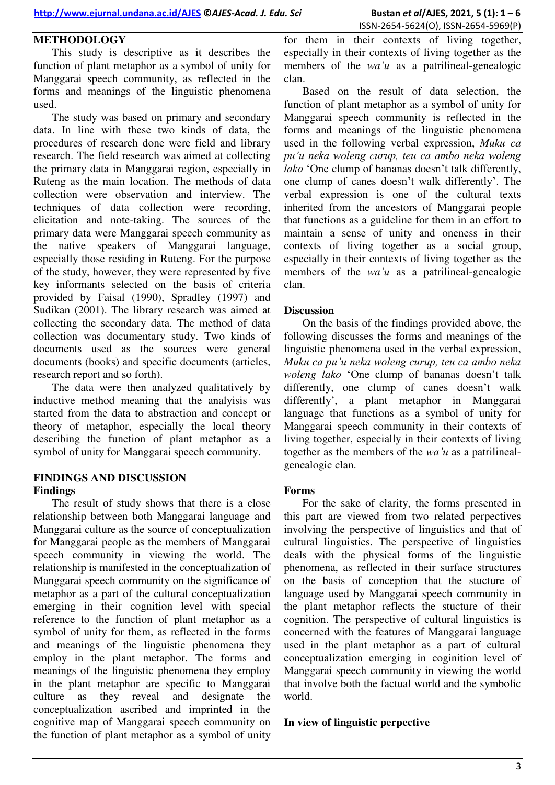# **METHODOLOGY**

This study is descriptive as it describes the function of plant metaphor as a symbol of unity for Manggarai speech community, as reflected in the forms and meanings of the linguistic phenomena used.

The study was based on primary and secondary data. In line with these two kinds of data, the procedures of research done were field and library research. The field research was aimed at collecting the primary data in Manggarai region, especially in Ruteng as the main location. The methods of data collection were observation and interview. The techniques of data collection were recording, elicitation and note-taking. The sources of the primary data were Manggarai speech community as the native speakers of Manggarai language, especially those residing in Ruteng. For the purpose of the study, however, they were represented by five key informants selected on the basis of criteria provided by Faisal (1990), Spradley (1997) and Sudikan (2001). The library research was aimed at collecting the secondary data. The method of data collection was documentary study. Two kinds of documents used as the sources were general documents (books) and specific documents (articles, research report and so forth).

The data were then analyzed qualitatively by inductive method meaning that the analyisis was started from the data to abstraction and concept or theory of metaphor, especially the local theory describing the function of plant metaphor as a symbol of unity for Manggarai speech community.

## **FINDINGS AND DISCUSSION Findings**

The result of study shows that there is a close relationship between both Manggarai language and Manggarai culture as the source of conceptualization for Manggarai people as the members of Manggarai speech community in viewing the world. The relationship is manifested in the conceptualization of Manggarai speech community on the significance of metaphor as a part of the cultural conceptualization emerging in their cognition level with special reference to the function of plant metaphor as a symbol of unity for them, as reflected in the forms and meanings of the linguistic phenomena they employ in the plant metaphor. The forms and meanings of the linguistic phenomena they employ in the plant metaphor are specific to Manggarai culture as they reveal and designate the conceptualization ascribed and imprinted in the cognitive map of Manggarai speech community on the function of plant metaphor as a symbol of unity

for them in their contexts of living together, especially in their contexts of living together as the members of the *wa'u* as a patrilineal-genealogic clan.

Based on the result of data selection, the function of plant metaphor as a symbol of unity for Manggarai speech community is reflected in the forms and meanings of the linguistic phenomena used in the following verbal expression, *Muku ca pu'u neka woleng curup, teu ca ambo neka woleng lako* 'One clump of bananas doesn't talk differently, one clump of canes doesn"t walk differently". The verbal expression is one of the cultural texts inherited from the ancestors of Manggarai people that functions as a guideline for them in an effort to maintain a sense of unity and oneness in their contexts of living together as a social group, especially in their contexts of living together as the members of the *wa'u* as a patrilineal-genealogic clan.

#### **Discussion**

On the basis of the findings provided above, the following discusses the forms and meanings of the linguistic phenomena used in the verbal expression, *Muku ca pu'u neka woleng curup, teu ca ambo neka woleng lako* "One clump of bananas doesn"t talk differently, one clump of canes doesn't walk differently", a plant metaphor in Manggarai language that functions as a symbol of unity for Manggarai speech community in their contexts of living together, especially in their contexts of living together as the members of the *wa'u* as a patrilinealgenealogic clan.

## **Forms**

For the sake of clarity, the forms presented in this part are viewed from two related perpectives involving the perspective of linguistics and that of cultural linguistics. The perspective of linguistics deals with the physical forms of the linguistic phenomena, as reflected in their surface structures on the basis of conception that the stucture of language used by Manggarai speech community in the plant metaphor reflects the stucture of their cognition. The perspective of cultural linguistics is concerned with the features of Manggarai language used in the plant metaphor as a part of cultural conceptualization emerging in coginition level of Manggarai speech community in viewing the world that involve both the factual world and the symbolic world.

## **In view of linguistic perpective**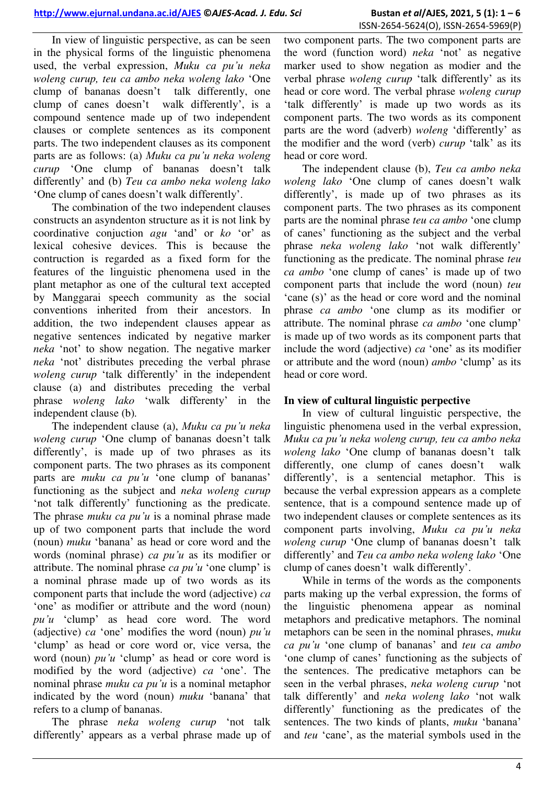In view of linguistic perspective, as can be seen in the physical forms of the linguistic phenomena used, the verbal expression, *Muku ca pu'u neka woleng curup, teu ca ambo neka woleng lako* "One clump of bananas doesn"t talk differently, one clump of canes doesn"t walk differently", is a compound sentence made up of two independent clauses or complete sentences as its component parts. The two independent clauses as its component parts are as follows: (a) *Muku ca pu'u neka woleng curup* "One clump of bananas doesn"t talk differently" and (b) *Teu ca ambo neka woleng lako*  "One clump of canes doesn"t walk differently".

The combination of the two independent clauses constructs an asyndenton structure as it is not link by coordinative conjuction *agu* "and" or *ko* "or" as lexical cohesive devices. This is because the contruction is regarded as a fixed form for the features of the linguistic phenomena used in the plant metaphor as one of the cultural text accepted by Manggarai speech community as the social conventions inherited from their ancestors. In addition, the two independent clauses appear as negative sentences indicated by negative marker *neka* "not" to show negation. The negative marker *neka* "not" distributes preceding the verbal phrase *woleng curup* 'talk differently' in the independent clause (a) and distributes preceding the verbal phrase *woleng lako* "walk differenty" in the independent clause (b)*.*

The independent clause (a), *Muku ca pu'u neka woleng curup* 'One clump of bananas doesn't talk differently', is made up of two phrases as its component parts. The two phrases as its component parts are *muku ca pu'u* 'one clump of bananas' functioning as the subject and *neka woleng curup* 'not talk differently' functioning as the predicate. The phrase *muku ca pu'u* is a nominal phrase made up of two component parts that include the word (noun) *muku* "banana" as head or core word and the words (nominal phrase) *ca pu'u* as its modifier or attribute. The nominal phrase *ca pu'u* 'one clump' is a nominal phrase made up of two words as its component parts that include the word (adjective) *ca* 'one' as modifier or attribute and the word (noun) *pu'u* "clump" as head core word. The word (adjective) *ca* "one" modifies the word (noun) *pu'u* "clump" as head or core word or, vice versa, the word (noun) *pu'u* 'clump' as head or core word is modified by the word (adjective) *ca* "one". The nominal phrase *muku ca pu'u* is a nominal metaphor indicated by the word (noun) *muku* "banana" that refers to a clump of bananas.

The phrase *neka woleng curup* "not talk differently" appears as a verbal phrase made up of two component parts. The two component parts are the word (function word) *neka* "not" as negative marker used to show negation as modier and the verbal phrase *woleng curup* "talk differently" as its head or core word. The verbal phrase *woleng curup*  'talk differently' is made up two words as its component parts. The two words as its component parts are the word (adverb) *woleng* "differently" as the modifier and the word (verb) *curup* "talk" as its head or core word.

The independent clause (b), *Teu ca ambo neka woleng lako* "One clump of canes doesn"t walk differently', is made up of two phrases as its component parts. The two phrases as its component parts are the nominal phrase *teu ca ambo* "one clump of canes" functioning as the subject and the verbal phrase *neka woleng lako* "not walk differently" functioning as the predicate. The nominal phrase *teu ca ambo* "one clump of canes" is made up of two component parts that include the word (noun) *teu*  'cane (s)' as the head or core word and the nominal phrase *ca ambo* "one clump as its modifier or attribute. The nominal phrase *ca ambo* "one clump" is made up of two words as its component parts that include the word (adjective) *ca* "one" as its modifier or attribute and the word (noun) *ambo* "clump" as its head or core word.

## **In view of cultural linguistic perpective**

In view of cultural linguistic perspective, the linguistic phenomena used in the verbal expression, *Muku ca pu'u neka woleng curup, teu ca ambo neka woleng lako* "One clump of bananas doesn"t talk differently, one clump of canes doesn't walk differently", is a sentencial metaphor. This is because the verbal expression appears as a complete sentence, that is a compound sentence made up of two independent clauses or complete sentences as its component parts involving, *Muku ca pu'u neka woleng curup* 'One clump of bananas doesn't talk differently" and *Teu ca ambo neka woleng lako* "One clump of canes doesn"t walk differently".

While in terms of the words as the components parts making up the verbal expression, the forms of the linguistic phenomena appear as nominal metaphors and predicative metaphors. The nominal metaphors can be seen in the nominal phrases, *muku ca pu'u* "one clump of bananas" and *teu ca ambo*  'one clump of canes' functioning as the subjects of the sentences. The predicative metaphors can be seen in the verbal phrases, *neka woleng curup* "not talk differently" and *neka woleng lako* "not walk differently" functioning as the predicates of the sentences. The two kinds of plants, *muku* "banana" and *teu* 'cane', as the material symbols used in the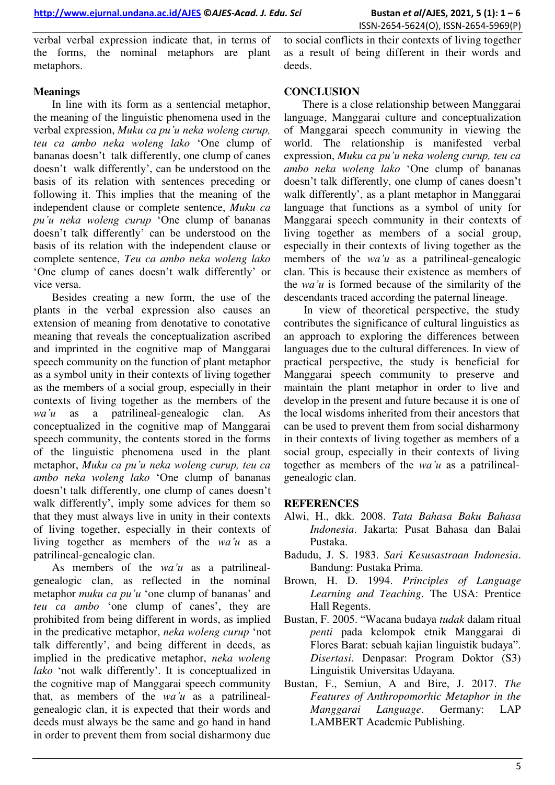verbal verbal expression indicate that, in terms of the forms, the nominal metaphors are plant metaphors.

to social conflicts in their contexts of living together as a result of being different in their words and deeds.

# **Meanings**

In line with its form as a sentencial metaphor, the meaning of the linguistic phenomena used in the verbal expression, *Muku ca pu'u neka woleng curup, teu ca ambo neka woleng lako* "One clump of bananas doesn"t talk differently, one clump of canes doesn"t walk differently", can be understood on the basis of its relation with sentences preceding or following it. This implies that the meaning of the independent clause or complete sentence, *Muku ca pu'u neka woleng curup* "One clump of bananas doesn't talk differently' can be understood on the basis of its relation with the independent clause or complete sentence, *Teu ca ambo neka woleng lako*  "One clump of canes doesn"t walk differently" or vice versa.

Besides creating a new form, the use of the plants in the verbal expression also causes an extension of meaning from denotative to conotative meaning that reveals the conceptualization ascribed and imprinted in the cognitive map of Manggarai speech community on the function of plant metaphor as a symbol unity in their contexts of living together as the members of a social group, especially in their contexts of living together as the members of the *wa'u* as a patrilineal-genealogic clan. As conceptualized in the cognitive map of Manggarai speech community, the contents stored in the forms of the linguistic phenomena used in the plant metaphor, *Muku ca pu'u neka woleng curup, teu ca ambo neka woleng lako* "One clump of bananas doesn't talk differently, one clump of canes doesn't walk differently', imply some advices for them so that they must always live in unity in their contexts of living together, especially in their contexts of living together as members of the *wa'u* as a patrilineal-genealogic clan.

As members of the *wa'u* as a patrilinealgenealogic clan, as reflected in the nominal metaphor *muku ca pu'u* 'one clump of bananas' and *teu ca ambo* 'one clump of canes', they are prohibited from being different in words, as implied in the predicative metaphor, *neka woleng curup* "not talk differently", and being different in deeds, as implied in the predicative metaphor, *neka woleng*  lako 'not walk differently'. It is conceptualized in the cognitive map of Manggarai speech community that, as members of the *wa'u* as a patrilinealgenealogic clan, it is expected that their words and deeds must always be the same and go hand in hand in order to prevent them from social disharmony due

## **CONCLUSION**

There is a close relationship between Manggarai language, Manggarai culture and conceptualization of Manggarai speech community in viewing the world. The relationship is manifested verbal expression, *Muku ca pu'u neka woleng curup, teu ca ambo neka woleng lako* "One clump of bananas doesn't talk differently, one clump of canes doesn't walk differently', as a plant metaphor in Manggarai language that functions as a symbol of unity for Manggarai speech community in their contexts of living together as members of a social group, especially in their contexts of living together as the members of the *wa'u* as a patrilineal-genealogic clan. This is because their existence as members of the *wa'u* is formed because of the similarity of the descendants traced according the paternal lineage.

 In view of theoretical perspective, the study contributes the significance of cultural linguistics as an approach to exploring the differences between languages due to the cultural differences. In view of practical perspective, the study is beneficial for Manggarai speech community to preserve and maintain the plant metaphor in order to live and develop in the present and future because it is one of the local wisdoms inherited from their ancestors that can be used to prevent them from social disharmony in their contexts of living together as members of a social group, especially in their contexts of living together as members of the *wa'u* as a patrilinealgenealogic clan.

## **REFERENCES**

- Alwi, H., dkk. 2008. *Tata Bahasa Baku Bahasa Indonesia*. Jakarta: Pusat Bahasa dan Balai Pustaka.
- Badudu, J. S. 1983. *Sari Kesusastraan Indonesia*. Bandung: Pustaka Prima.
- Brown, H. D. 1994. *Principles of Language Learning and Teaching*. The USA: Prentice Hall Regents.
- Bustan, F. 2005. "Wacana budaya *tudak* dalam ritual *penti* pada kelompok etnik Manggarai di Flores Barat: sebuah kajian linguistik budaya". *Disertasi*. Denpasar: Program Doktor (S3) Linguistik Universitas Udayana.
- Bustan, F., Semiun, A and Bire, J. 2017. *The Features of Anthropomorhic Metaphor in the Manggarai Language*. Germany: LAP LAMBERT Academic Publishing.